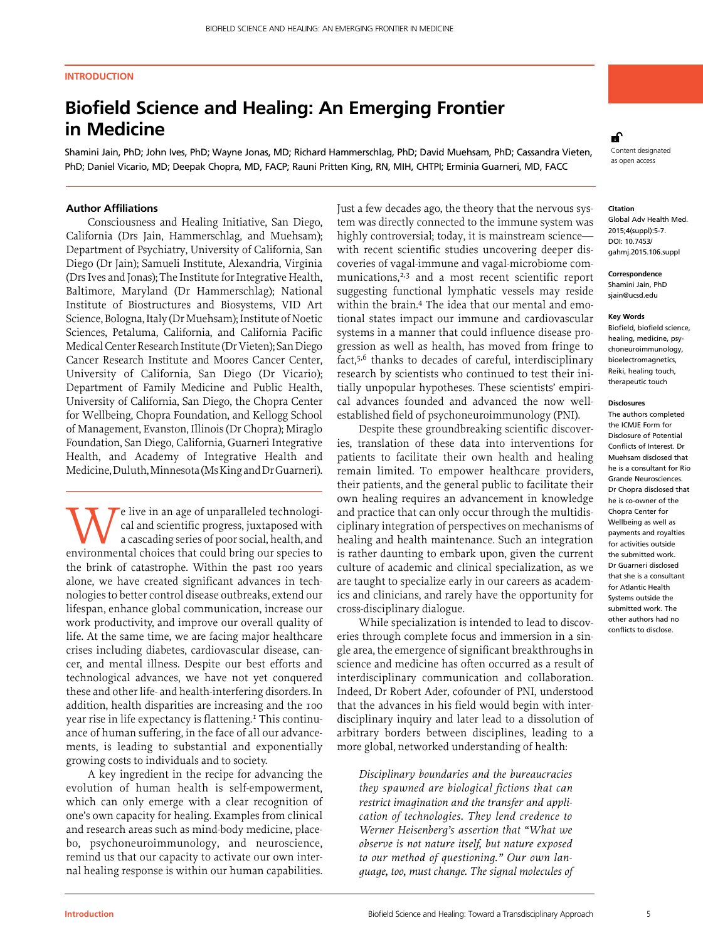# **INTRODUCTION**

# **Biofield Science and Healing: An Emerging Frontier in Medicine**

Shamini Jain, PhD; John Ives, PhD; Wayne Jonas, MD; Richard Hammerschlag, PhD; David Muehsam, PhD; Cassandra Vieten, PhD; Daniel Vicario, MD; Deepak Chopra, MD, FACP; Rauni Pritten King, RN, MIH, CHTPI; Erminia Guarneri, MD, FACC

# **R**

content designated as open access

# **Author Affiliations**

Consciousness and Healing Initiative, San Diego, California (Drs Jain, Hammerschlag, and Muehsam); Department of Psychiatry, University of California, San Diego (Dr Jain); Samueli Institute, Alexandria, Virginia (Drs Ives and Jonas); The Institute for Integrative Health, Baltimore, Maryland (Dr Hammerschlag); National Institute of Biostructures and Biosystems, VID Art Science, Bologna, Italy (Dr Muehsam); Institute of Noetic Sciences, Petaluma, California, and California Pacific Medical Center Research Institute (Dr Vieten); San Diego Cancer Research Institute and Moores Cancer Center, University of California, San Diego (Dr Vicario); Department of Family Medicine and Public Health, University of California, San Diego, the Chopra Center for Wellbeing, Chopra Foundation, and Kellogg School of Management, Evanston, Illinois (Dr Chopra); Miraglo Foundation, San Diego, California, Guarneri Integrative Health, and Academy of Integrative Health and Medicine, Duluth, Minnesota (Ms King and Dr Guarneri).

We live in an age of unparalleled technological and scientific progress, juxtaposed with a cascading series of poor social, health, and environmental choices that could bring our species to cal and scientific progress, juxtaposed with a cascading series of poor social, health, and the brink of catastrophe. Within the past 100 years alone, we have created significant advances in technologies to better control disease outbreaks, extend our lifespan, enhance global communication, increase our work productivity, and improve our overall quality of life. At the same time, we are facing major healthcare crises including diabetes, cardiovascular disease, cancer, and mental illness. Despite our best efforts and technological advances, we have not yet conquered these and other life- and health-interfering disorders. In addition, health disparities are increasing and the 100 year rise in life expectancy is flattening.<sup>1</sup> This continuance of human suffering, in the face of all our advancements, is leading to substantial and exponentially growing costs to individuals and to society.

A key ingredient in the recipe for advancing the evolution of human health is self-empowerment, which can only emerge with a clear recognition of one's own capacity for healing. Examples from clinical and research areas such as mind-body medicine, placebo, psychoneuroimmunology, and neuroscience, remind us that our capacity to activate our own internal healing response is within our human capabilities.

Just a few decades ago, the theory that the nervous system was directly connected to the immune system was highly controversial; today, it is mainstream science with recent scientific studies uncovering deeper discoveries of vagal-immune and vagal-microbiome communications,<sup>2,3</sup> and a most recent scientific report suggesting functional lymphatic vessels may reside within the brain.<sup>4</sup> The idea that our mental and emotional states impact our immune and cardiovascular systems in a manner that could influence disease progression as well as health, has moved from fringe to fact,5,6 thanks to decades of careful, interdisciplinary research by scientists who continued to test their initially unpopular hypotheses. These scientists' empirical advances founded and advanced the now wellestablished field of psychoneuroimmunology (PNI).

Despite these groundbreaking scientific discoveries, translation of these data into interventions for patients to facilitate their own health and healing remain limited. To empower healthcare providers, their patients, and the general public to facilitate their own healing requires an advancement in knowledge and practice that can only occur through the multidisciplinary integration of perspectives on mechanisms of healing and health maintenance. Such an integration is rather daunting to embark upon, given the current culture of academic and clinical specialization, as we are taught to specialize early in our careers as academics and clinicians, and rarely have the opportunity for cross-disciplinary dialogue.

While specialization is intended to lead to discoveries through complete focus and immersion in a single area, the emergence of significant breakthroughs in science and medicine has often occurred as a result of interdisciplinary communication and collaboration. Indeed, Dr Robert Ader, cofounder of PNI, understood that the advances in his field would begin with interdisciplinary inquiry and later lead to a dissolution of arbitrary borders between disciplines, leading to a more global, networked understanding of health:

*Disciplinary boundaries and the bureaucracies they spawned are biological fictions that can restrict imagination and the transfer and application of technologies. They lend credence to Werner Heisenberg's assertion that "What we observe is not nature itself, but nature exposed to our method of questioning." Our own language, too, must change. The signal molecules of* 

#### **Citation**

Global Adv Health Med. 2015;4(suppl):5-7. DOI: 10.7453/ gahmj.2015.106.suppl

#### **Correspondence** Shamini Jain, PhD sjain@ucsd.edu

**Key Words**

Biofield, biofield science, healing, medicine, psychoneuroimmunology, bioelectromagnetics, Reiki, healing touch, therapeutic touch

#### **Disclosures**

The authors completed the ICMJE Form for Disclosure of Potential Conflicts of Interest. Dr Muehsam disclosed that he is a consultant for Rio Grande Neurosciences. Dr Chopra disclosed that he is co-owner of the Chopra Center for Wellbeing as well as payments and royalties for activities outside the submitted work. Dr Guarneri disclosed that she is a consultant for Atlantic Health Systems outside the submitted work. The other authors had no conflicts to disclose.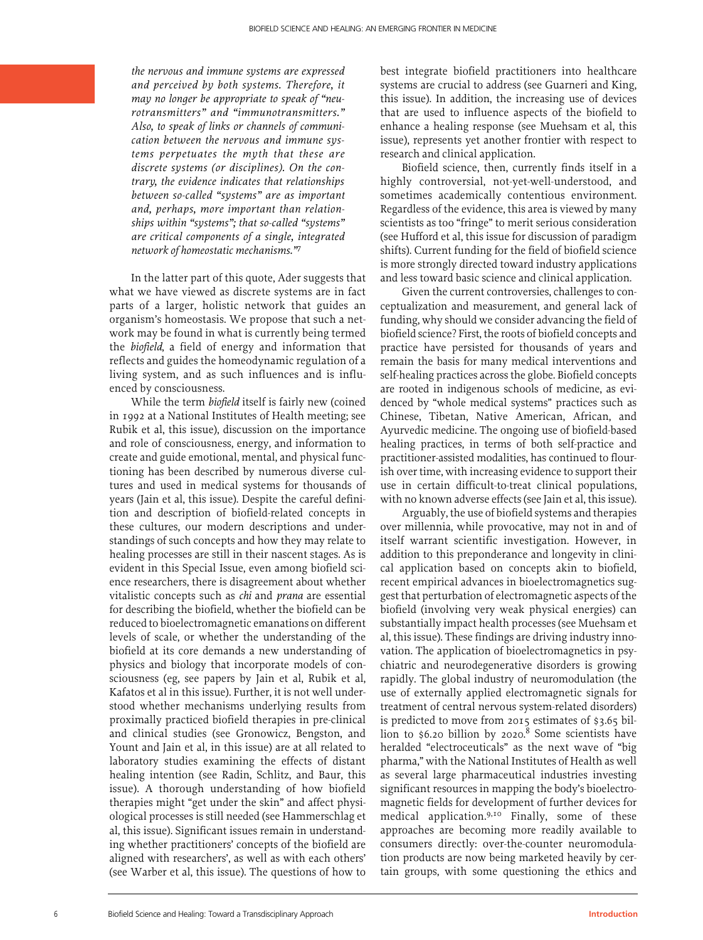*the nervous and immune systems are expressed and perceived by both systems. Therefore, it may no longer be appropriate to speak of "neurotransmitters" and "immunotransmitters." Also, to speak of links or channels of communication between the nervous and immune systems perpetuates the myth that these are discrete systems (or disciplines). On the contrary, the evidence indicates that relationships between so-called "systems" are as important and, perhaps, more important than relationships within "systems"; that so-called "systems" are critical components of a single, integrated network of homeostatic mechanisms."*<sup>7</sup>

In the latter part of this quote, Ader suggests that what we have viewed as discrete systems are in fact parts of a larger, holistic network that guides an organism's homeostasis. We propose that such a network may be found in what is currently being termed the *biofield*, a field of energy and information that reflects and guides the homeodynamic regulation of a living system, and as such influences and is influenced by consciousness.

While the term *biofield* itself is fairly new (coined in 1992 at a National Institutes of Health meeting; see Rubik et al, this issue), discussion on the importance and role of consciousness, energy, and information to create and guide emotional, mental, and physical functioning has been described by numerous diverse cultures and used in medical systems for thousands of years (Jain et al, this issue). Despite the careful definition and description of biofield-related concepts in these cultures, our modern descriptions and understandings of such concepts and how they may relate to healing processes are still in their nascent stages. As is evident in this Special Issue, even among biofield science researchers, there is disagreement about whether vitalistic concepts such as *chi* and *prana* are essential for describing the biofield, whether the biofield can be reduced to bioelectromagnetic emanations on different levels of scale, or whether the understanding of the biofield at its core demands a new understanding of physics and biology that incorporate models of consciousness (eg, see papers by Jain et al, Rubik et al, Kafatos et al in this issue). Further, it is not well understood whether mechanisms underlying results from proximally practiced biofield therapies in pre-clinical and clinical studies (see Gronowicz, Bengston, and Yount and Jain et al, in this issue) are at all related to laboratory studies examining the effects of distant healing intention (see Radin, Schlitz, and Baur, this issue). A thorough understanding of how biofield therapies might "get under the skin" and affect physiological processes is still needed (see Hammerschlag et al, this issue). Significant issues remain in understanding whether practitioners' concepts of the biofield are aligned with researchers', as well as with each others' (see Warber et al, this issue). The questions of how to

best integrate biofield practitioners into healthcare systems are crucial to address (see Guarneri and King, this issue). In addition, the increasing use of devices that are used to influence aspects of the biofield to enhance a healing response (see Muehsam et al, this issue), represents yet another frontier with respect to research and clinical application.

Biofield science, then, currently finds itself in a highly controversial, not-yet-well-understood, and sometimes academically contentious environment. Regardless of the evidence, this area is viewed by many scientists as too "fringe" to merit serious consideration (see Hufford et al, this issue for discussion of paradigm shifts). Current funding for the field of biofield science is more strongly directed toward industry applications and less toward basic science and clinical application.

Given the current controversies, challenges to conceptualization and measurement, and general lack of funding, why should we consider advancing the field of biofield science? First, the roots of biofield concepts and practice have persisted for thousands of years and remain the basis for many medical interventions and self-healing practices across the globe. Biofield concepts are rooted in indigenous schools of medicine, as evidenced by "whole medical systems" practices such as Chinese, Tibetan, Native American, African, and Ayurvedic medicine. The ongoing use of biofield-based healing practices, in terms of both self-practice and practitioner-assisted modalities, has continued to flourish over time, with increasing evidence to support their use in certain difficult-to-treat clinical populations, with no known adverse effects (see Jain et al, this issue).

Arguably, the use of biofield systems and therapies over millennia, while provocative, may not in and of itself warrant scientific investigation. However, in addition to this preponderance and longevity in clinical application based on concepts akin to biofield, recent empirical advances in bioelectromagnetics suggest that perturbation of electromagnetic aspects of the biofield (involving very weak physical energies) can substantially impact health processes (see Muehsam et al, this issue). These findings are driving industry innovation. The application of bioelectromagnetics in psychiatric and neurodegenerative disorders is growing rapidly. The global industry of neuromodulation (the use of externally applied electromagnetic signals for treatment of central nervous system-related disorders) is predicted to move from 2015 estimates of \$3.65 billion to \$6.20 billion by 2020. $8$  Some scientists have heralded "electroceuticals" as the next wave of "big pharma," with the National Institutes of Health as well as several large pharmaceutical industries investing significant resources in mapping the body's bioelectromagnetic fields for development of further devices for medical application.9,10 Finally, some of these approaches are becoming more readily available to consumers directly: over-the-counter neuromodulation products are now being marketed heavily by certain groups, with some questioning the ethics and